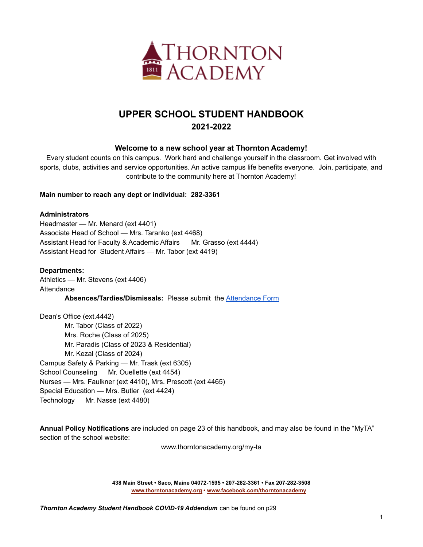

# **UPPER SCHOOL STUDENT HANDBOOK 2021-2022**

## **Welcome to a new school year at Thornton Academy!**

Every student counts on this campus. Work hard and challenge yourself in the classroom. Get involved with sports, clubs, activities and service opportunities. An active campus life benefits everyone. Join, participate, and contribute to the community here at Thornton Academy!

## **Main number to reach any dept or individual: 282-3361**

## **Administrators**

Headmaster — Mr. Menard (ext 4401) Associate Head of School — Mrs. Taranko (ext 4468) Assistant Head for Faculty & Academic Affairs — Mr. Grasso (ext 4444) Assistant Head for Student Affairs — Mr. Tabor (ext 4419)

## **Departments:**

Athletics — Mr. Stevens (ext 4406) **Attendance Absences/Tardies/Dismissals:** Please submit the [Attendance](https://docs.google.com/forms/d/e/1FAIpQLScZpDDWC3rB3KDpSu_VwixvFDCK6MHE_e8gffs9oFqZz6HieA/viewform?usp=sf_link) Form

Dean's Office (ext.4442) Mr. Tabor (Class of 2022) Mrs. Roche (Class of 2025) Mr. Paradis (Class of 2023 & Residential) Mr. Kezal (Class of 2024) Campus Safety & Parking — Mr. Trask (ext 6305) School Counseling — Mr. Ouellette (ext 4454) Nurses — Mrs. Faulkner (ext 4410), Mrs. Prescott (ext 4465) Special Education — Mrs. Butler (ext 4424) Technology — Mr. Nasse (ext 4480)

**Annual Policy Notifications** are included on page 23 of this handbook, and may also be found in the "MyTA" section of the school website:

www.thorntonacademy.org/my-ta

**438 Main Street • Saco, Maine 04072-1595 • 207-282-3361 • Fax 207-282-3508 [www.thorntonacademy.org](http://www.thorntonacademy.org) • [www.facebook.com/thorntonacademy](http://www.facebook.com/thorntonacademy)**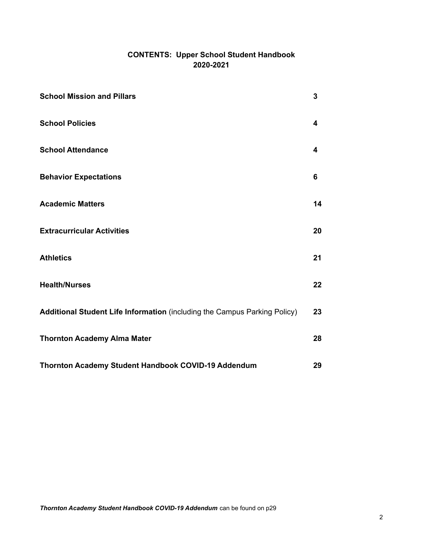## **CONTENTS: Upper School Student Handbook 2020-2021**

| <b>School Mission and Pillars</b>                                         | $\mathbf{3}$ |
|---------------------------------------------------------------------------|--------------|
| <b>School Policies</b>                                                    | 4            |
| <b>School Attendance</b>                                                  | 4            |
| <b>Behavior Expectations</b>                                              | 6            |
| <b>Academic Matters</b>                                                   | 14           |
| <b>Extracurricular Activities</b>                                         | 20           |
| <b>Athletics</b>                                                          | 21           |
| <b>Health/Nurses</b>                                                      | 22           |
| Additional Student Life Information (including the Campus Parking Policy) | 23           |
| <b>Thornton Academy Alma Mater</b>                                        | 28           |
| Thornton Academy Student Handbook COVID-19 Addendum                       | 29           |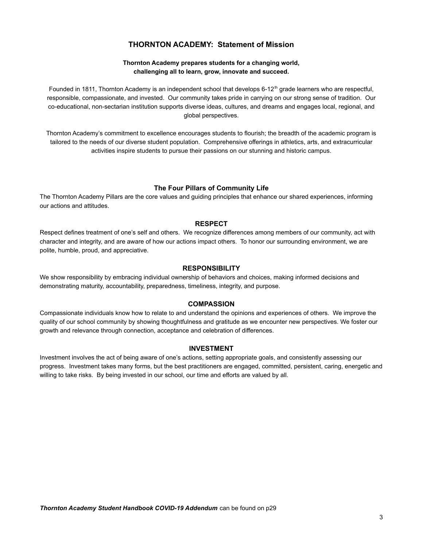## **THORNTON ACADEMY: Statement of Mission**

## **Thornton Academy prepares students for a changing world, challenging all to learn, grow, innovate and succeed.**

Founded in 1811, Thornton Academy is an independent school that develops 6-12<sup>th</sup> grade learners who are respectful, responsible, compassionate, and invested. Our community takes pride in carrying on our strong sense of tradition. Our co-educational, non-sectarian institution supports diverse ideas, cultures, and dreams and engages local, regional, and global perspectives.

Thornton Academy's commitment to excellence encourages students to flourish; the breadth of the academic program is tailored to the needs of our diverse student population. Comprehensive offerings in athletics, arts, and extracurricular activities inspire students to pursue their passions on our stunning and historic campus.

## **The Four Pillars of Community Life**

The Thornton Academy Pillars are the core values and guiding principles that enhance our shared experiences, informing our actions and attitudes.

## **RESPECT**

Respect defines treatment of one's self and others. We recognize differences among members of our community, act with character and integrity, and are aware of how our actions impact others. To honor our surrounding environment, we are polite, humble, proud, and appreciative.

#### **RESPONSIBILITY**

We show responsibility by embracing individual ownership of behaviors and choices, making informed decisions and demonstrating maturity, accountability, preparedness, timeliness, integrity, and purpose.

#### **COMPASSION**

Compassionate individuals know how to relate to and understand the opinions and experiences of others. We improve the quality of our school community by showing thoughtfulness and gratitude as we encounter new perspectives. We foster our growth and relevance through connection, acceptance and celebration of differences.

#### **INVESTMENT**

Investment involves the act of being aware of one's actions, setting appropriate goals, and consistently assessing our progress. Investment takes many forms, but the best practitioners are engaged, committed, persistent, caring, energetic and willing to take risks. By being invested in our school, our time and efforts are valued by all.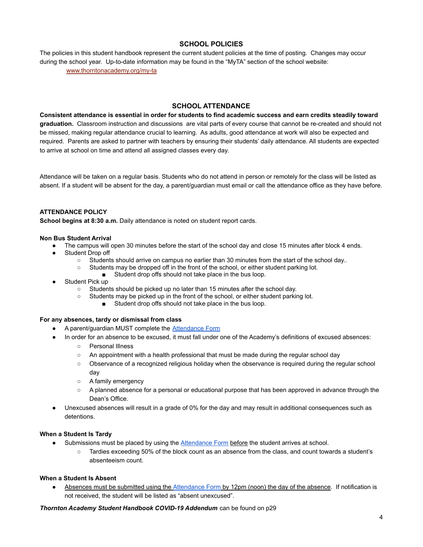## **SCHOOL POLICIES**

The policies in this student handbook represent the current student policies at the time of posting. Changes may occur during the school year. Up-to-date information may be found in the "MyTA" section of the school website:

[www.thorntonacademy.org/my-ta](http://www.thorntonacademy.org/my-ta)

## **SCHOOL ATTENDANCE**

**Consistent attendance is essential in order for students to find academic success and earn credits steadily toward graduation.** Classroom instruction and discussions are vital parts of every course that cannot be re-created and should not be missed, making regular attendance crucial to learning. As adults, good attendance at work will also be expected and required. Parents are asked to partner with teachers by ensuring their students' daily attendance. All students are expected to arrive at school on time and attend all assigned classes every day.

Attendance will be taken on a regular basis. Students who do not attend in person or remotely for the class will be listed as absent. If a student will be absent for the day, a parent/guardian must email or call the attendance office as they have before.

## **ATTENDANCE POLICY**

**School begins at 8:30 a.m.** Daily attendance is noted on student report cards.

#### **Non Bus Student Arrival**

- The campus will open 30 minutes before the start of the school day and close 15 minutes after block 4 ends.
- Student Drop off
	- Students should arrive on campus no earlier than 30 minutes from the start of the school day..
	- Students may be dropped off in the front of the school, or either student parking lot.
		- Student drop offs should not take place in the bus loop.
- Student Pick up
	- Students should be picked up no later than 15 minutes after the school day.
	- Students may be picked up in the front of the school, or either student parking lot.
		- Student drop offs should not take place in the bus loop.

#### **For any absences, tardy or dismissal from class**

- A parent/guardian MUST complete the [Attendance Form](https://docs.google.com/forms/d/e/1FAIpQLScZpDDWC3rB3KDpSu_VwixvFDCK6MHE_e8gffs9oFqZz6HieA/viewform)
- In order for an absence to be excused, it must fall under one of the Academy's definitions of excused absences:
	- Personal Illness
	- $\circ$  An appointment with a health professional that must be made during the regular school day
	- Observance of a recognized religious holiday when the observance is required during the regular school day
	- A family emergency
	- A planned absence for a personal or educational purpose that has been approved in advance through the Dean's Office.
- Unexcused absences will result in a grade of 0% for the day and may result in additional consequences such as detentions.

#### **When a Student Is Tardy**

- Submissions must be placed by using the [Attendance](https://docs.google.com/forms/d/e/1FAIpQLScZpDDWC3rB3KDpSu_VwixvFDCK6MHE_e8gffs9oFqZz6HieA/viewform) Form before the student arrives at school.
	- Tardies exceeding 50% of the block count as an absence from the class, and count towards a student's absenteeism count.

## **When a Student Is Absent**

Absences must be submitted using the [Attendance Form](https://docs.google.com/forms/d/e/1FAIpQLScZpDDWC3rB3KDpSu_VwixvFDCK6MHE_e8gffs9oFqZz6HieA/viewform) by 12pm (noon) the day of the absence. If notification is not received, the student will be listed as "absent unexcused".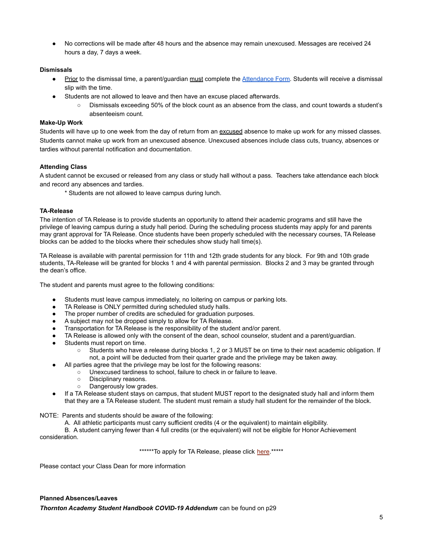● No corrections will be made after 48 hours and the absence may remain unexcused. Messages are received 24 hours a day, 7 days a week.

#### **Dismissals**

- Prior to the dismissal time, a parent/guardian must complete the [Attendance Form.](https://docs.google.com/forms/d/e/1FAIpQLScZpDDWC3rB3KDpSu_VwixvFDCK6MHE_e8gffs9oFqZz6HieA/viewform) Students will receive a dismissal slip with the time.
- Students are not allowed to leave and then have an excuse placed afterwards.
	- Dismissals exceeding 50% of the block count as an absence from the class, and count towards a student's absenteeism count.

#### **Make-Up Work**

Students will have up to one week from the day of return from an excused absence to make up work for any missed classes. Students cannot make up work from an unexcused absence. Unexcused absences include class cuts, truancy, absences or tardies without parental notification and documentation.

## **Attending Class**

A student cannot be excused or released from any class or study hall without a pass. Teachers take attendance each block and record any absences and tardies.

\* Students are not allowed to leave campus during lunch.

#### **TA-Release**

The intention of TA Release is to provide students an opportunity to attend their academic programs and still have the privilege of leaving campus during a study hall period. During the scheduling process students may apply for and parents may grant approval for TA Release. Once students have been properly scheduled with the necessary courses, TA Release blocks can be added to the blocks where their schedules show study hall time(s).

TA Release is available with parental permission for 11th and 12th grade students for any block. For 9th and 10th grade students, TA-Release will be granted for blocks 1 and 4 with parental permission. Blocks 2 and 3 may be granted through the dean's office.

The student and parents must agree to the following conditions:

- Students must leave campus immediately, no loitering on campus or parking lots.
- TA Release is ONLY permitted during scheduled study halls.
- The proper number of credits are scheduled for graduation purposes.
- A subject may not be dropped simply to allow for TA Release.
- Transportation for TA Release is the responsibility of the student and/or parent.
- TA Release is allowed only with the consent of the dean, school counselor, student and a parent/guardian.
- Students must report on time.
	- Students who have a release during blocks 1, 2 or 3 MUST be on time to their next academic obligation. If not, a point will be deducted from their quarter grade and the privilege may be taken away.
- All parties agree that the privilege may be lost for the following reasons:
	- Unexcused tardiness to school, failure to check in or failure to leave.
		- Disciplinary reasons.
		- Dangerously low grades.
- If a TA Release student stays on campus, that student MUST report to the designated study hall and inform them that they are a TA Release student. The student must remain a study hall student for the remainder of the block.

NOTE: Parents and students should be aware of the following:

A. All athletic participants must carry sufficient credits (4 or the equivalent) to maintain eligibility.

B. A student carrying fewer than 4 full credits (or the equivalent) will not be eligible for Honor Achievement consideration.

\*\*\*\*\*\*To apply for TA Release, please click [here](https://docs.google.com/forms/d/e/1FAIpQLSefTznK9PVr75yXM2LxBuW1cfBcco409yXAXsiOU3KhDprGQg/viewform?usp=sf_link).\*\*\*\*\*

Please contact your Class Dean for more information

#### **Planned Absences/Leaves**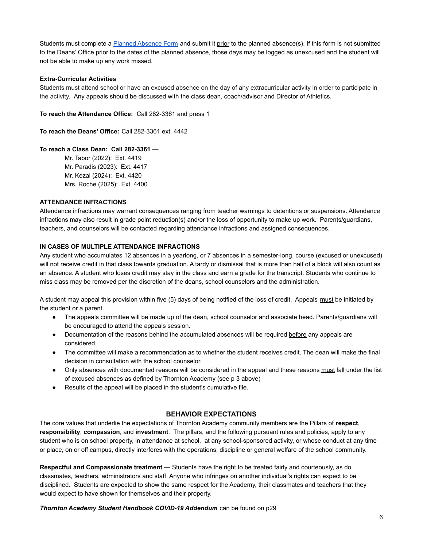Students must complete a [Planned Absence Form](https://docs.google.com/forms/d/1dLWFmvdaxqQQKDMJHuN8YoHhfG8PPx3XXnsvUm43eNE/edit) and submit it prior to the planned absence(s). If this form is not submitted to the Deans' Office prior to the dates of the planned absence, those days may be logged as unexcused and the student will not be able to make up any work missed.

### **Extra-Curricular Activities**

Students must attend school or have an excused absence on the day of any extracurricular activity in order to participate in the activity. Any appeals should be discussed with the class dean, coach/advisor and Director of Athletics.

**To reach the Attendance Office:** Call 282-3361 and press 1

**To reach the Deans' Office:** Call 282-3361 ext. 4442

## **To reach a Class Dean: Call 282-3361 —**

Mr. Tabor (2022): Ext. 4419 Mr. Paradis (2023): Ext. 4417 Mr. Kezal (2024): Ext. 4420 Mrs. Roche (2025): Ext. 4400

### **ATTENDANCE INFRACTIONS**

Attendance infractions may warrant consequences ranging from teacher warnings to detentions or suspensions. Attendance infractions may also result in grade point reduction(s) and/or the loss of opportunity to make up work. Parents/guardians, teachers, and counselors will be contacted regarding attendance infractions and assigned consequences.

### **IN CASES OF MULTIPLE ATTENDANCE INFRACTIONS**

Any student who accumulates 12 absences in a yearlong, or 7 absences in a semester-long, course (excused or unexcused) will not receive credit in that class towards graduation. A tardy or dismissal that is more than half of a block will also count as an absence. A student who loses credit may stay in the class and earn a grade for the transcript. Students who continue to miss class may be removed per the discretion of the deans, school counselors and the administration.

A student may appeal this provision within five (5) days of being notified of the loss of credit. Appeals must be initiated by the student or a parent.

- The appeals committee will be made up of the dean, school counselor and associate head. Parents/guardians will be encouraged to attend the appeals session.
- Documentation of the reasons behind the accumulated absences will be required before any appeals are considered.
- The committee will make a recommendation as to whether the student receives credit. The dean will make the final decision in consultation with the school counselor.
- Only absences with documented reasons will be considered in the appeal and these reasons must fall under the list of excused absences as defined by Thornton Academy (see p 3 above)
- Results of the appeal will be placed in the student's cumulative file.

## **BEHAVIOR EXPECTATIONS**

The core values that underlie the expectations of Thornton Academy community members are the Pillars of **respect**, **responsibility**, **compassion**, and **investment**. The pillars, and the following pursuant rules and policies, apply to any student who is on school property, in attendance at school, at any school-sponsored activity, or whose conduct at any time or place, on or off campus, directly interferes with the operations, discipline or general welfare of the school community.

**Respectful and Compassionate treatment —** Students have the right to be treated fairly and courteously, as do classmates, teachers, administrators and staff. Anyone who infringes on another individual's rights can expect to be disciplined. Students are expected to show the same respect for the Academy, their classmates and teachers that they would expect to have shown for themselves and their property.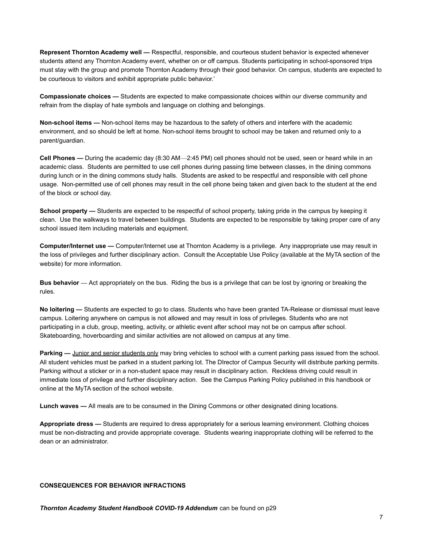**Represent Thornton Academy well —** Respectful, responsible, and courteous student behavior is expected whenever students attend any Thornton Academy event, whether on or off campus. Students participating in school-sponsored trips must stay with the group and promote Thornton Academy through their good behavior. On campus, students are expected to be courteous to visitors and exhibit appropriate public behavior.'

**Compassionate choices —** Students are expected to make compassionate choices within our diverse community and refrain from the display of hate symbols and language on clothing and belongings.

**Non-school items —** Non-school items may be hazardous to the safety of others and interfere with the academic environment, and so should be left at home. Non-school items brought to school may be taken and returned only to a parent/guardian.

**Cell Phones —** During the academic day (8:30 AM—2:45 PM) cell phones should not be used, seen or heard while in an academic class. Students are permitted to use cell phones during passing time between classes, in the dining commons during lunch or in the dining commons study halls. Students are asked to be respectful and responsible with cell phone usage. Non-permitted use of cell phones may result in the cell phone being taken and given back to the student at the end of the block or school day.

**School property —** Students are expected to be respectful of school property, taking pride in the campus by keeping it clean. Use the walkways to travel between buildings. Students are expected to be responsible by taking proper care of any school issued item including materials and equipment.

**Computer/Internet use —** Computer/Internet use at Thornton Academy is a privilege. Any inappropriate use may result in the loss of privileges and further disciplinary action. Consult the Acceptable Use Policy (available at the MyTA section of the website) for more information.

**Bus behavior —** Act appropriately on the bus. Riding the bus is a privilege that can be lost by ignoring or breaking the rules.

**No loitering —** Students are expected to go to class. Students who have been granted TA-Release or dismissal must leave campus. Loitering anywhere on campus is not allowed and may result in loss of privileges. Students who are not participating in a club, group, meeting, activity, or athletic event after school may not be on campus after school. Skateboarding, hoverboarding and similar activities are not allowed on campus at any time.

**Parking —** Junior and senior students only may bring vehicles to school with a current parking pass issued from the school. All student vehicles must be parked in a student parking lot. The DIrector of Campus Security will distribute parking permits. Parking without a sticker or in a non-student space may result in disciplinary action. Reckless driving could result in immediate loss of privilege and further disciplinary action. See the Campus Parking Policy published in this handbook or online at the MyTA section of the school website.

**Lunch waves —** All meals are to be consumed in the Dining Commons or other designated dining locations.

**Appropriate dress —** Students are required to dress appropriately for a serious learning environment. Clothing choices must be non-distracting and provide appropriate coverage. Students wearing inappropriate clothing will be referred to the dean or an administrator.

#### **CONSEQUENCES FOR BEHAVIOR INFRACTIONS**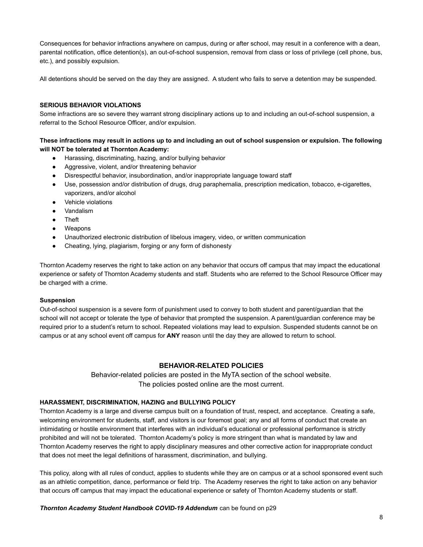Consequences for behavior infractions anywhere on campus, during or after school, may result in a conference with a dean, parental notification, office detention(s), an out-of-school suspension, removal from class or loss of privilege (cell phone, bus, etc.), and possibly expulsion.

All detentions should be served on the day they are assigned. A student who fails to serve a detention may be suspended.

#### **SERIOUS BEHAVIOR VIOLATIONS**

Some infractions are so severe they warrant strong disciplinary actions up to and including an out-of-school suspension, a referral to the School Resource Officer, and/or expulsion.

## **These infractions may result in actions up to and including an out of school suspension or expulsion. The following will NOT be tolerated at Thornton Academy:**

- Harassing, discriminating, hazing, and/or bullying behavior
- Aggressive, violent, and/or threatening behavior
- Disrespectful behavior, insubordination, and/or inappropriate language toward staff
- Use, possession and/or distribution of drugs, drug paraphernalia, prescription medication, tobacco, e-cigarettes, vaporizers, and/or alcohol
- Vehicle violations
- **Vandalism**
- Theft
- Weapons
- Unauthorized electronic distribution of libelous imagery, video, or written communication
- Cheating, lying, plagiarism, forging or any form of dishonesty

Thornton Academy reserves the right to take action on any behavior that occurs off campus that may impact the educational experience or safety of Thornton Academy students and staff. Students who are referred to the School Resource Officer may be charged with a crime.

#### **Suspension**

Out-of-school suspension is a severe form of punishment used to convey to both student and parent/guardian that the school will not accept or tolerate the type of behavior that prompted the suspension. A parent/guardian conference may be required prior to a student's return to school. Repeated violations may lead to expulsion. Suspended students cannot be on campus or at any school event off campus for **ANY** reason until the day they are allowed to return to school.

## **BEHAVIOR-RELATED POLICIES**

Behavior-related policies are posted in the MyTA section of the school website. The policies posted online are the most current.

#### **HARASSMENT, DISCRIMINATION, HAZING and BULLYING POLICY**

Thornton Academy is a large and diverse campus built on a foundation of trust, respect, and acceptance. Creating a safe, welcoming environment for students, staff, and visitors is our foremost goal; any and all forms of conduct that create an intimidating or hostile environment that interferes with an individual's educational or professional performance is strictly prohibited and will not be tolerated. Thornton Academy's policy is more stringent than what is mandated by law and Thornton Academy reserves the right to apply disciplinary measures and other corrective action for inappropriate conduct that does not meet the legal definitions of harassment, discrimination, and bullying.

This policy, along with all rules of conduct, applies to students while they are on campus or at a school sponsored event such as an athletic competition, dance, performance or field trip. The Academy reserves the right to take action on any behavior that occurs off campus that may impact the educational experience or safety of Thornton Academy students or staff.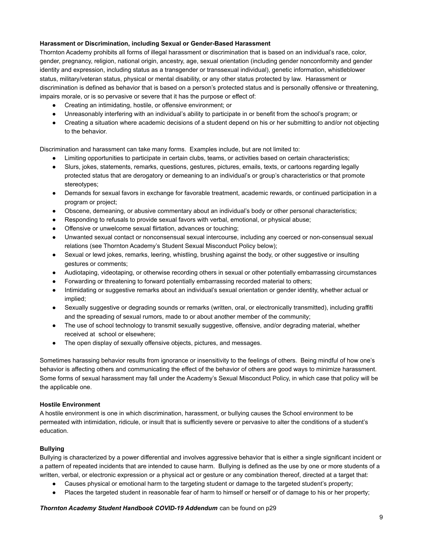### **Harassment or Discrimination, including Sexual or Gender-Based Harassment**

Thornton Academy prohibits all forms of illegal harassment or discrimination that is based on an individual's race, color, gender, pregnancy, religion, national origin, ancestry, age, sexual orientation (including gender nonconformity and gender identity and expression, including status as a transgender or transsexual individual), genetic information, whistleblower status, military/veteran status, physical or mental disability, or any other status protected by law. Harassment or discrimination is defined as behavior that is based on a person's protected status and is personally offensive or threatening, impairs morale, or is so pervasive or severe that it has the purpose or effect of:

- Creating an intimidating, hostile, or offensive environment; or
- Unreasonably interfering with an individual's ability to participate in or benefit from the school's program; or
- Creating a situation where academic decisions of a student depend on his or her submitting to and/or not objecting to the behavior.

Discrimination and harassment can take many forms. Examples include, but are not limited to:

- Limiting opportunities to participate in certain clubs, teams, or activities based on certain characteristics;
- Slurs, jokes, statements, remarks, questions, gestures, pictures, emails, texts, or cartoons regarding legally protected status that are derogatory or demeaning to an individual's or group's characteristics or that promote stereotypes;
- Demands for sexual favors in exchange for favorable treatment, academic rewards, or continued participation in a program or project;
- Obscene, demeaning, or abusive commentary about an individual's body or other personal characteristics;
- Responding to refusals to provide sexual favors with verbal, emotional, or physical abuse;
- Offensive or unwelcome sexual flirtation, advances or touching;
- Unwanted sexual contact or nonconsensual sexual intercourse, including any coerced or non-consensual sexual relations (see Thornton Academy's Student Sexual Misconduct Policy below);
- Sexual or lewd jokes, remarks, leering, whistling, brushing against the body, or other suggestive or insulting gestures or comments;
- Audiotaping, videotaping, or otherwise recording others in sexual or other potentially embarrassing circumstances
- Forwarding or threatening to forward potentially embarrassing recorded material to others;
- Intimidating or suggestive remarks about an individual's sexual orientation or gender identity, whether actual or implied;
- Sexually suggestive or degrading sounds or remarks (written, oral, or electronically transmitted), including graffiti and the spreading of sexual rumors, made to or about another member of the community;
- The use of school technology to transmit sexually suggestive, offensive, and/or degrading material, whether received at school or elsewhere;
- The open display of sexually offensive objects, pictures, and messages.

Sometimes harassing behavior results from ignorance or insensitivity to the feelings of others. Being mindful of how one's behavior is affecting others and communicating the effect of the behavior of others are good ways to minimize harassment. Some forms of sexual harassment may fall under the Academy's Sexual Misconduct Policy, in which case that policy will be the applicable one.

#### **Hostile Environment**

A hostile environment is one in which discrimination, harassment, or bullying causes the School environment to be permeated with intimidation, ridicule, or insult that is sufficiently severe or pervasive to alter the conditions of a student's education.

#### **Bullying**

Bullying is characterized by a power differential and involves aggressive behavior that is either a single significant incident or a pattern of repeated incidents that are intended to cause harm. Bullying is defined as the use by one or more students of a written, verbal, or electronic expression or a physical act or gesture or any combination thereof, directed at a target that:

- Causes physical or emotional harm to the targeting student or damage to the targeted student's property;
- Places the targeted student in reasonable fear of harm to himself or herself or of damage to his or her property;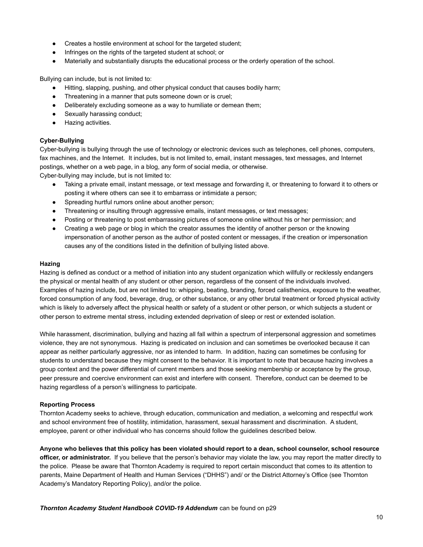- Creates a hostile environment at school for the targeted student;
- Infringes on the rights of the targeted student at school; or
- Materially and substantially disrupts the educational process or the orderly operation of the school.

Bullying can include, but is not limited to:

- Hitting, slapping, pushing, and other physical conduct that causes bodily harm;
- Threatening in a manner that puts someone down or is cruel;
- Deliberately excluding someone as a way to humiliate or demean them;
- Sexually harassing conduct;
- Hazing activities.

### **Cyber-Bullying**

Cyber-bullying is bullying through the use of technology or electronic devices such as telephones, cell phones, computers, fax machines, and the Internet. It includes, but is not limited to, email, instant messages, text messages, and Internet postings, whether on a web page, in a blog, any form of social media, or otherwise.

Cyber-bullying may include, but is not limited to:

- Taking a private email, instant message, or text message and forwarding it, or threatening to forward it to others or posting it where others can see it to embarrass or intimidate a person;
- Spreading hurtful rumors online about another person;
- Threatening or insulting through aggressive emails, instant messages, or text messages;
- Posting or threatening to post embarrassing pictures of someone online without his or her permission; and
- Creating a web page or blog in which the creator assumes the identity of another person or the knowing impersonation of another person as the author of posted content or messages, if the creation or impersonation causes any of the conditions listed in the definition of bullying listed above.

#### **Hazing**

Hazing is defined as conduct or a method of initiation into any student organization which willfully or recklessly endangers the physical or mental health of any student or other person, regardless of the consent of the individuals involved. Examples of hazing include, but are not limited to: whipping, beating, branding, forced calisthenics, exposure to the weather, forced consumption of any food, beverage, drug, or other substance, or any other brutal treatment or forced physical activity which is likely to adversely affect the physical health or safety of a student or other person, or which subjects a student or other person to extreme mental stress, including extended deprivation of sleep or rest or extended isolation.

While harassment, discrimination, bullying and hazing all fall within a spectrum of interpersonal aggression and sometimes violence, they are not synonymous. Hazing is predicated on inclusion and can sometimes be overlooked because it can appear as neither particularly aggressive, nor as intended to harm. In addition, hazing can sometimes be confusing for students to understand because they might consent to the behavior. It is important to note that because hazing involves a group context and the power differential of current members and those seeking membership or acceptance by the group, peer pressure and coercive environment can exist and interfere with consent. Therefore, conduct can be deemed to be hazing regardless of a person's willingness to participate.

#### **Reporting Process**

Thornton Academy seeks to achieve, through education, communication and mediation, a welcoming and respectful work and school environment free of hostility, intimidation, harassment, sexual harassment and discrimination. A student, employee, parent or other individual who has concerns should follow the guidelines described below.

**Anyone who believes that this policy has been violated should report to a dean, school counselor, school resource officer, or administrator.** If you believe that the person's behavior may violate the law, you may report the matter directly to the police. Please be aware that Thornton Academy is required to report certain misconduct that comes to its attention to parents, Maine Department of Health and Human Services ("DHHS") and/ or the District Attorney's Office (see Thornton Academy's Mandatory Reporting Policy), and/or the police.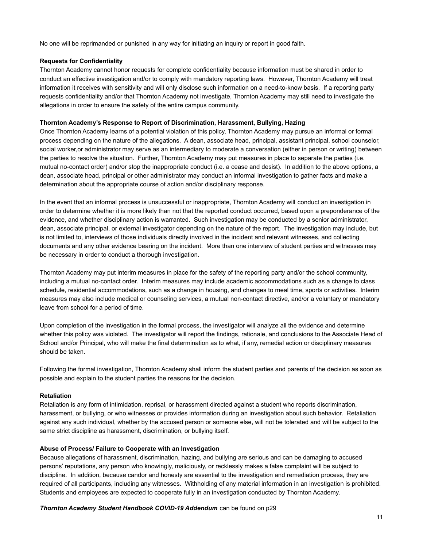No one will be reprimanded or punished in any way for initiating an inquiry or report in good faith.

#### **Requests for Confidentiality**

Thornton Academy cannot honor requests for complete confidentiality because information must be shared in order to conduct an effective investigation and/or to comply with mandatory reporting laws. However, Thornton Academy will treat information it receives with sensitivity and will only disclose such information on a need-to-know basis. If a reporting party requests confidentiality and/or that Thornton Academy not investigate, Thornton Academy may still need to investigate the allegations in order to ensure the safety of the entire campus community.

#### **Thornton Academy's Response to Report of Discrimination, Harassment, Bullying, Hazing**

Once Thornton Academy learns of a potential violation of this policy, Thornton Academy may pursue an informal or formal process depending on the nature of the allegations. A dean, associate head, principal, assistant principal, school counselor, social worker,or administrator may serve as an intermediary to moderate a conversation (either in person or writing) between the parties to resolve the situation. Further, Thornton Academy may put measures in place to separate the parties (i.e. mutual no-contact order) and/or stop the inappropriate conduct (i.e. a cease and desist). In addition to the above options, a dean, associate head, principal or other administrator may conduct an informal investigation to gather facts and make a determination about the appropriate course of action and/or disciplinary response.

In the event that an informal process is unsuccessful or inappropriate, Thornton Academy will conduct an investigation in order to determine whether it is more likely than not that the reported conduct occurred, based upon a preponderance of the evidence, and whether disciplinary action is warranted. Such investigation may be conducted by a senior administrator, dean, associate principal, or external investigator depending on the nature of the report. The investigation may include, but is not limited to, interviews of those individuals directly involved in the incident and relevant witnesses, and collecting documents and any other evidence bearing on the incident. More than one interview of student parties and witnesses may be necessary in order to conduct a thorough investigation.

Thornton Academy may put interim measures in place for the safety of the reporting party and/or the school community, including a mutual no-contact order. Interim measures may include academic accommodations such as a change to class schedule, residential accommodations, such as a change in housing, and changes to meal time, sports or activities. Interim measures may also include medical or counseling services, a mutual non-contact directive, and/or a voluntary or mandatory leave from school for a period of time.

Upon completion of the investigation in the formal process, the investigator will analyze all the evidence and determine whether this policy was violated. The investigator will report the findings, rationale, and conclusions to the Associate Head of School and/or Principal, who will make the final determination as to what, if any, remedial action or disciplinary measures should be taken.

Following the formal investigation, Thornton Academy shall inform the student parties and parents of the decision as soon as possible and explain to the student parties the reasons for the decision.

#### **Retaliation**

Retaliation is any form of intimidation, reprisal, or harassment directed against a student who reports discrimination, harassment, or bullying, or who witnesses or provides information during an investigation about such behavior. Retaliation against any such individual, whether by the accused person or someone else, will not be tolerated and will be subject to the same strict discipline as harassment, discrimination, or bullying itself.

#### **Abuse of Process/ Failure to Cooperate with an Investigation**

Because allegations of harassment, discrimination, hazing, and bullying are serious and can be damaging to accused persons' reputations, any person who knowingly, maliciously, or recklessly makes a false complaint will be subject to discipline. In addition, because candor and honesty are essential to the investigation and remediation process, they are required of all participants, including any witnesses. Withholding of any material information in an investigation is prohibited. Students and employees are expected to cooperate fully in an investigation conducted by Thornton Academy.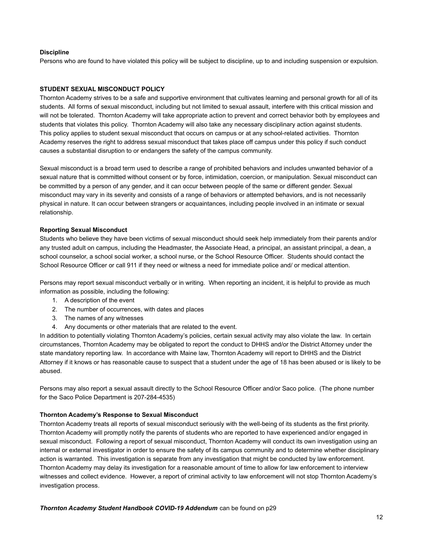#### **Discipline**

Persons who are found to have violated this policy will be subject to discipline, up to and including suspension or expulsion.

#### **STUDENT SEXUAL MISCONDUCT POLICY**

Thornton Academy strives to be a safe and supportive environment that cultivates learning and personal growth for all of its students. All forms of sexual misconduct, including but not limited to sexual assault, interfere with this critical mission and will not be tolerated. Thornton Academy will take appropriate action to prevent and correct behavior both by employees and students that violates this policy. Thornton Academy will also take any necessary disciplinary action against students. This policy applies to student sexual misconduct that occurs on campus or at any school-related activities. Thornton Academy reserves the right to address sexual misconduct that takes place off campus under this policy if such conduct causes a substantial disruption to or endangers the safety of the campus community.

Sexual misconduct is a broad term used to describe a range of prohibited behaviors and includes unwanted behavior of a sexual nature that is committed without consent or by force, intimidation, coercion, or manipulation. Sexual misconduct can be committed by a person of any gender, and it can occur between people of the same or different gender. Sexual misconduct may vary in its severity and consists of a range of behaviors or attempted behaviors, and is not necessarily physical in nature. It can occur between strangers or acquaintances, including people involved in an intimate or sexual relationship.

#### **Reporting Sexual Misconduct**

Students who believe they have been victims of sexual misconduct should seek help immediately from their parents and/or any trusted adult on campus, including the Headmaster, the Associate Head, a principal, an assistant principal, a dean, a school counselor, a school social worker, a school nurse, or the School Resource Officer. Students should contact the School Resource Officer or call 911 if they need or witness a need for immediate police and/ or medical attention.

Persons may report sexual misconduct verbally or in writing. When reporting an incident, it is helpful to provide as much information as possible, including the following:

- 1. A description of the event
- 2. The number of occurrences, with dates and places
- 3. The names of any witnesses
- 4. Any documents or other materials that are related to the event.

In addition to potentially violating Thornton Academy's policies, certain sexual activity may also violate the law. In certain circumstances, Thornton Academy may be obligated to report the conduct to DHHS and/or the District Attorney under the state mandatory reporting law. In accordance with Maine law, Thornton Academy will report to DHHS and the District Attorney if it knows or has reasonable cause to suspect that a student under the age of 18 has been abused or is likely to be abused.

Persons may also report a sexual assault directly to the School Resource Officer and/or Saco police. (The phone number for the Saco Police Department is 207-284-4535)

#### **Thornton Academy's Response to Sexual Misconduct**

Thornton Academy treats all reports of sexual misconduct seriously with the well-being of its students as the first priority. Thornton Academy will promptly notify the parents of students who are reported to have experienced and/or engaged in sexual misconduct. Following a report of sexual misconduct, Thornton Academy will conduct its own investigation using an internal or external investigator in order to ensure the safety of its campus community and to determine whether disciplinary action is warranted. This investigation is separate from any investigation that might be conducted by law enforcement. Thornton Academy may delay its investigation for a reasonable amount of time to allow for law enforcement to interview witnesses and collect evidence. However, a report of criminal activity to law enforcement will not stop Thornton Academy's investigation process.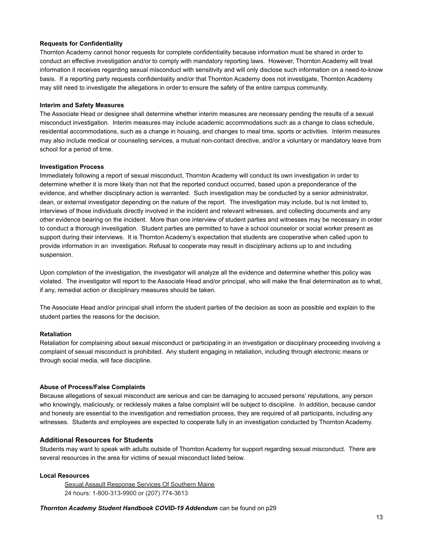#### **Requests for Confidentiality**

Thornton Academy cannot honor requests for complete confidentiality because information must be shared in order to conduct an effective investigation and/or to comply with mandatory reporting laws. However, Thornton Academy will treat information it receives regarding sexual misconduct with sensitivity and will only disclose such information on a need-to-know basis. If a reporting party requests confidentiality and/or that Thornton Academy does not investigate, Thornton Academy may still need to investigate the allegations in order to ensure the safety of the entire campus community.

#### **Interim and Safety Measures**

The Associate Head or designee shall determine whether interim measures are necessary pending the results of a sexual misconduct investigation. Interim measures may include academic accommodations such as a change to class schedule, residential accommodations, such as a change in housing, and changes to meal time, sports or activities. Interim measures may also include medical or counseling services, a mutual non-contact directive, and/or a voluntary or mandatory leave from school for a period of time.

#### **Investigation Process**

Immediately following a report of sexual misconduct, Thornton Academy will conduct its own investigation in order to determine whether it is more likely than not that the reported conduct occurred, based upon a preponderance of the evidence, and whether disciplinary action is warranted. Such investigation may be conducted by a senior administrator, dean, or external investigator depending on the nature of the report. The investigation may include, but is not limited to, interviews of those individuals directly involved in the incident and relevant witnesses, and collecting documents and any other evidence bearing on the incident. More than one interview of student parties and witnesses may be necessary in order to conduct a thorough investigation. Student parties are permitted to have a school counselor or social worker present as support during their interviews. It is Thornton Academy's expectation that students are cooperative when called upon to provide information in an investigation. Refusal to cooperate may result in disciplinary actions up to and including suspension.

Upon completion of the investigation, the investigator will analyze all the evidence and determine whether this policy was violated. The investigator will report to the Associate Head and/or principal, who will make the final determination as to what, if any, remedial action or disciplinary measures should be taken.

The Associate Head and/or principal shall inform the student parties of the decision as soon as possible and explain to the student parties the reasons for the decision.

## **Retaliation**

Retaliation for complaining about sexual misconduct or participating in an investigation or disciplinary proceeding involving a complaint of sexual misconduct is prohibited. Any student engaging in retaliation, including through electronic means or through social media, will face discipline.

## **Abuse of Process/False Complaints**

Because allegations of sexual misconduct are serious and can be damaging to accused persons' reputations, any person who knowingly, maliciously, or recklessly makes a false complaint will be subject to discipline. In addition, because candor and honesty are essential to the investigation and remediation process, they are required of all participants, including any witnesses. Students and employees are expected to cooperate fully in an investigation conducted by Thornton Academy.

## **Additional Resources for Students**

Students may want to speak with adults outside of Thornton Academy for support regarding sexual misconduct. There are several resources in the area for victims of sexual misconduct listed below.

## **Local Resources**

Sexual Assault Response Services Of Southern Maine 24 hours: 1-800-313-9900 or (207) 774-3613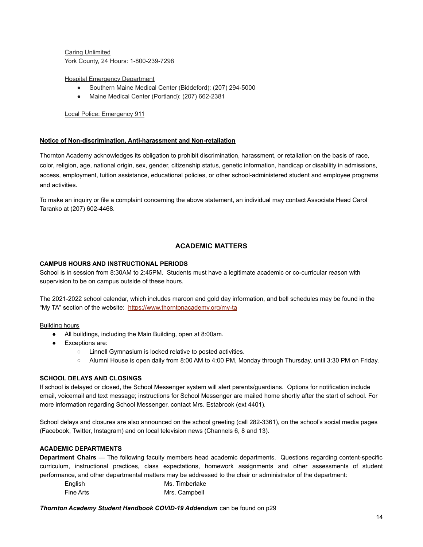Caring Unlimited York County, 24 Hours: 1-800-239-7298

Hospital Emergency Department

- Southern Maine Medical Center (Biddeford): (207) 294-5000
- Maine Medical Center (Portland): (207) 662-2381

### Local Police: Emergency 911

#### **Notice of Non-discrimination, Anti-harassment and Non-retaliation**

Thornton Academy acknowledges its obligation to prohibit discrimination, harassment, or retaliation on the basis of race, color, religion, age, national origin, sex, gender, citizenship status, genetic information, handicap or disability in admissions, access, employment, tuition assistance, educational policies, or other school-administered student and employee programs and activities.

To make an inquiry or file a complaint concerning the above statement, an individual may contact Associate Head Carol Taranko at (207) 602-4468.

#### **ACADEMIC MATTERS**

#### **CAMPUS HOURS AND INSTRUCTIONAL PERIODS**

School is in session from 8:30AM to 2:45PM. Students must have a legitimate academic or co-curricular reason with supervision to be on campus outside of these hours.

The 2021-2022 school calendar, which includes maroon and gold day information, and bell schedules may be found in the "My TA" section of the website: <https://www.thorntonacademy.org/my-ta>

#### Building hours

- All buildings, including the Main Building, open at 8:00am.
- Exceptions are:
	- Linnell Gymnasium is locked relative to posted activities.
	- Alumni House is open daily from 8:00 AM to 4:00 PM, Monday through Thursday, until 3:30 PM on Friday.

#### **SCHOOL DELAYS AND CLOSINGS**

If school is delayed or closed, the School Messenger system will alert parents/guardians. Options for notification include email, voicemail and text message; instructions for School Messenger are mailed home shortly after the start of school. For more information regarding School Messenger, contact Mrs. Estabrook (ext 4401).

School delays and closures are also announced on the school greeting (call 282-3361), on the school's social media pages (Facebook, Twitter, Instagram) and on local television news (Channels 6, 8 and 13).

#### **ACADEMIC DEPARTMENTS**

**Department Chairs —** The following faculty members head academic departments. Questions regarding content-specific curriculum, instructional practices, class expectations, homework assignments and other assessments of student performance, and other departmental matters may be addressed to the chair or administrator of the department:

| English   | Ms. Timberlake |
|-----------|----------------|
| Fine Arts | Mrs. Campbell  |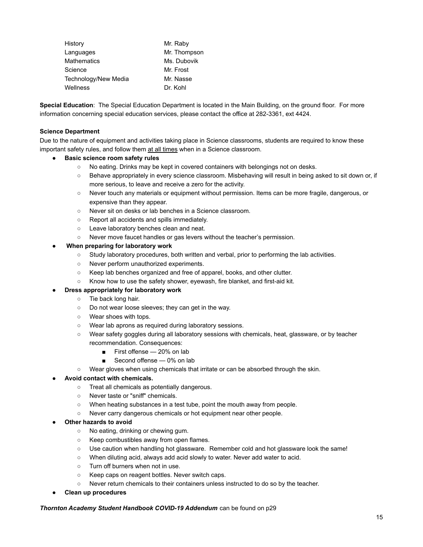| History              | Mr. Raby     |
|----------------------|--------------|
| Languages            | Mr. Thompson |
| <b>Mathematics</b>   | Ms. Dubovik  |
| Science              | Mr. Frost    |
| Technology/New Media | Mr. Nasse    |
| Wellness             | Dr. Kohl     |

**Special Education**: The Special Education Department is located in the Main Building, on the ground floor. For more information concerning special education services, please contact the office at 282-3361, ext 4424.

### **Science Department**

Due to the nature of equipment and activities taking place in Science classrooms, students are required to know these important safety rules, and follow them at all times when in a Science classroom.

#### **● Basic science room safety rules**

- **○** No eating. Drinks may be kept in covered containers with belongings not on desks.
- **○** Behave appropriately in every science classroom. Misbehaving will result in being asked to sit down or, if more serious, to leave and receive a zero for the activity.
- **○** Never touch any materials or equipment without permission. Items can be more fragile, dangerous, or expensive than they appear.
- **○** Never sit on desks or lab benches in a Science classroom.
- **○** Report all accidents and spills immediately.
- **○** Leave laboratory benches clean and neat.
- **○** Never move faucet handles or gas levers without the teacher's permission.

#### **When preparing for laboratory work**

- Study laboratory procedures, both written and verbal, prior to performing the lab activities.
- Never perform unauthorized experiments.
- Keep lab benches organized and free of apparel, books, and other clutter.
- Know how to use the safety shower, eyewash, fire blanket, and first-aid kit.

## ● **Dress appropriately for laboratory work**

- Tie back long hair.
- Do not wear loose sleeves; they can get in the way.
- Wear shoes with tops.
- Wear lab aprons as required during laboratory sessions.
- Wear safety goggles during all laboratory sessions with chemicals, heat, glassware, or by teacher recommendation. Consequences:
	- First offense 20% on lab
	- Second offense 0% on lab
- Wear gloves when using chemicals that irritate or can be absorbed through the skin.

## ● **Avoid contact with chemicals.**

- Treat all chemicals as potentially dangerous.
- Never taste or "sniff" chemicals.
- When heating substances in a test tube, point the mouth away from people.
- Never carry dangerous chemicals or hot equipment near other people.

#### **Other hazards to avoid**

- No eating, drinking or chewing gum.
- Keep combustibles away from open flames.
- Use caution when handling hot glassware. Remember cold and hot glassware look the same!
- When diluting acid, always add acid slowly to water. Never add water to acid.
- Turn off burners when not in use.
- Keep caps on reagent bottles. Never switch caps.
- Never return chemicals to their containers unless instructed to do so by the teacher.
- **Clean up procedures**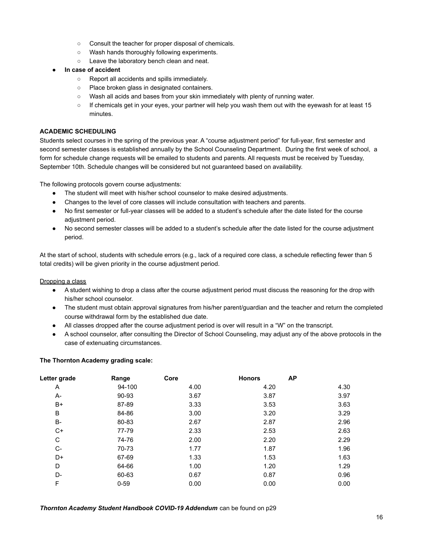- Consult the teacher for proper disposal of chemicals.
- Wash hands thoroughly following experiments.
- Leave the laboratory bench clean and neat.
- **In case of accident**
	- Report all accidents and spills immediately.
	- Place broken glass in designated containers.
	- Wash all acids and bases from your skin immediately with plenty of running water.
	- If chemicals get in your eyes, your partner will help you wash them out with the eyewash for at least 15 minutes.

#### **ACADEMIC SCHEDULING**

Students select courses in the spring of the previous year. A "course adjustment period" for full-year, first semester and second semester classes is established annually by the School Counseling Department. During the first week of school, a form for schedule change requests will be emailed to students and parents. All requests must be received by Tuesday, September 10th. Schedule changes will be considered but not guaranteed based on availability.

The following protocols govern course adjustments:

- The student will meet with his/her school counselor to make desired adjustments.
- Changes to the level of core classes will include consultation with teachers and parents.
- No first semester or full-year classes will be added to a student's schedule after the date listed for the course adjustment period.
- No second semester classes will be added to a student's schedule after the date listed for the course adjustment period.

At the start of school, students with schedule errors (e.g., lack of a required core class, a schedule reflecting fewer than 5 total credits) will be given priority in the course adjustment period.

### Dropping a class

- A student wishing to drop a class after the course adjustment period must discuss the reasoning for the drop with his/her school counselor.
- The student must obtain approval signatures from his/her parent/guardian and the teacher and return the completed course withdrawal form by the established due date.
- All classes dropped after the course adjustment period is over will result in a "W" on the transcript.
- A school counselor, after consulting the Director of School Counseling, may adjust any of the above protocols in the case of extenuating circumstances.

#### **The Thornton Academy grading scale:**

| Letter grade | Range    | Core | <b>Honors</b> | <b>AP</b> |
|--------------|----------|------|---------------|-----------|
| Α            | 94-100   | 4.00 | 4.20          | 4.30      |
| A-           | 90-93    | 3.67 | 3.87          | 3.97      |
| B+           | 87-89    | 3.33 | 3.53          | 3.63      |
| B            | 84-86    | 3.00 | 3.20          | 3.29      |
| $B -$        | 80-83    | 2.67 | 2.87          | 2.96      |
| C+           | 77-79    | 2.33 | 2.53          | 2.63      |
| С            | 74-76    | 2.00 | 2.20          | 2.29      |
| C-           | 70-73    | 1.77 | 1.87          | 1.96      |
| D+           | 67-69    | 1.33 | 1.53          | 1.63      |
| D            | 64-66    | 1.00 | 1.20          | 1.29      |
| D-           | 60-63    | 0.67 | 0.87          | 0.96      |
| F            | $0 - 59$ | 0.00 | 0.00          | 0.00      |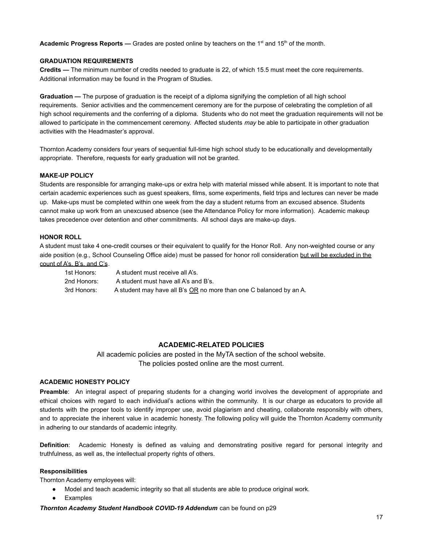**Academic Progress Reports —** Grades are posted online by teachers on the 1<sup>st</sup> and 15<sup>th</sup> of the month.

### **GRADUATION REQUIREMENTS**

**Credits —** The minimum number of credits needed to graduate is 22, of which 15.5 must meet the core requirements. Additional information may be found in the Program of Studies.

**Graduation —** The purpose of graduation is the receipt of a diploma signifying the completion of all high school requirements. Senior activities and the commencement ceremony are for the purpose of celebrating the completion of all high school requirements and the conferring of a diploma. Students who do not meet the graduation requirements will not be allowed to participate in the commencement ceremony. Affected students *may* be able to participate in other graduation activities with the Headmaster's approval.

Thornton Academy considers four years of sequential full-time high school study to be educationally and developmentally appropriate. Therefore, requests for early graduation will not be granted.

#### **MAKE-UP POLICY**

Students are responsible for arranging make-ups or extra help with material missed while absent. It is important to note that certain academic experiences such as guest speakers, films, some experiments, field trips and lectures can never be made up. Make-ups must be completed within one week from the day a student returns from an excused absence. Students cannot make up work from an unexcused absence (see the Attendance Policy for more information). Academic makeup takes precedence over detention and other commitments. All school days are make-up days.

#### **HONOR ROLL**

A student must take 4 one-credit courses or their equivalent to qualify for the Honor Roll. Any non-weighted course or any aide position (e.g., School Counseling Office aide) must be passed for honor roll consideration but will be excluded in the count of A's, B's, and C's.

1st Honors: A student must receive all A's. 2nd Honors: A student must have all A's and B's. 3rd Honors: A student may have all B's OR no more than one C balanced by an A.

## **ACADEMIC-RELATED POLICIES**

All academic policies are posted in the MyTA section of the school website. The policies posted online are the most current.

## **ACADEMIC HONESTY POLICY**

**Preamble**: An integral aspect of preparing students for a changing world involves the development of appropriate and ethical choices with regard to each individual's actions within the community. It is our charge as educators to provide all students with the proper tools to identify improper use, avoid plagiarism and cheating, collaborate responsibly with others, and to appreciate the inherent value in academic honesty. The following policy will guide the Thornton Academy community in adhering to our standards of academic integrity.

**Definition**: Academic Honesty is defined as valuing and demonstrating positive regard for personal integrity and truthfulness, as well as, the intellectual property rights of others.

### **Responsibilities**

Thornton Academy employees will:

- Model and teach academic integrity so that all students are able to produce original work.
- Examples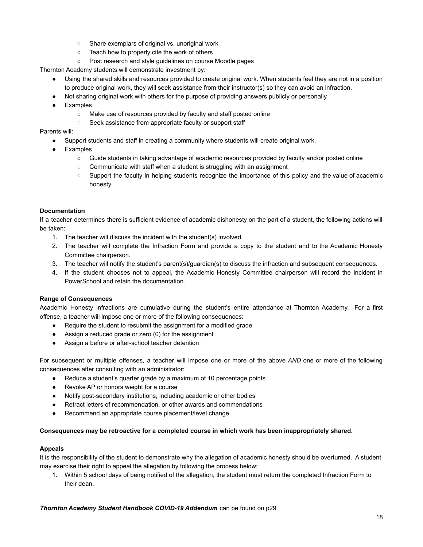- Share exemplars of original vs. unoriginal work
- Teach how to properly cite the work of others
- Post research and style guidelines on course Moodle pages

Thornton Academy students will demonstrate investment by:

- Using the shared skills and resources provided to create original work. When students feel they are not in a position to produce original work, they will seek assistance from their instructor(s) so they can avoid an infraction.
- Not sharing original work with others for the purpose of providing answers publicly or personally
- Examples
	- Make use of resources provided by faculty and staff posted online
	- Seek assistance from appropriate faculty or support staff

## Parents will:

- Support students and staff in creating a community where students will create original work.
- **Examples** 
	- Guide students in taking advantage of academic resources provided by faculty and/or posted online
	- Communicate with staff when a student is struggling with an assignment
	- Support the faculty in helping students recognize the importance of this policy and the value of academic honesty

## **Documentation**

If a teacher determines there is sufficient evidence of academic dishonesty on the part of a student, the following actions will be taken:

- 1. The teacher will discuss the incident with the student(s) involved.
- 2. The teacher will complete the Infraction Form and provide a copy to the student and to the Academic Honesty Committee chairperson.
- 3. The teacher will notify the student's parent(s)/guardian(s) to discuss the infraction and subsequent consequences.
- 4. If the student chooses not to appeal, the Academic Honesty Committee chairperson will record the incident in PowerSchool and retain the documentation.

## **Range of Consequences**

Academic Honesty infractions are cumulative during the student's entire attendance at Thornton Academy. For a first offense, a teacher will impose one or more of the following consequences:

- Require the student to resubmit the assignment for a modified grade
- Assign a reduced grade or zero (0) for the assignment
- Assign a before or after-school teacher detention

For subsequent or multiple offenses, a teacher will impose one or more of the above *AND* one or more of the following consequences after consulting with an administrator:

- Reduce a student's quarter grade by a maximum of 10 percentage points
- Revoke AP or honors weight for a course
- Notify post-secondary institutions, including academic or other bodies
- Retract letters of recommendation, or other awards and commendations
- Recommend an appropriate course placement/level change

## **Consequences may be retroactive for a completed course in which work has been inappropriately shared.**

## **Appeals**

It is the responsibility of the student to demonstrate why the allegation of academic honesty should be overturned. A student may exercise their right to appeal the allegation by following the process below:

1. Within 5 school days of being notified of the allegation, the student must return the completed Infraction Form to their dean.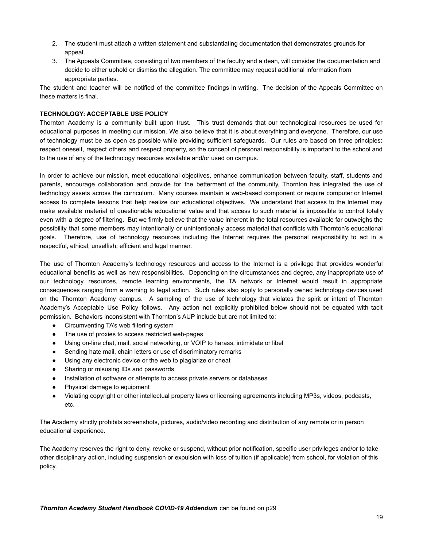- 2. The student must attach a written statement and substantiating documentation that demonstrates grounds for appeal.
- 3. The Appeals Committee, consisting of two members of the faculty and a dean, will consider the documentation and decide to either uphold or dismiss the allegation. The committee may request additional information from appropriate parties.

The student and teacher will be notified of the committee findings in writing. The decision of the Appeals Committee on these matters is final.

### **TECHNOLOGY: ACCEPTABLE USE POLICY**

Thornton Academy is a community built upon trust. This trust demands that our technological resources be used for educational purposes in meeting our mission. We also believe that it is about everything and everyone. Therefore, our use of technology must be as open as possible while providing sufficient safeguards. Our rules are based on three principles: respect oneself, respect others and respect property, so the concept of personal responsibility is important to the school and to the use of any of the technology resources available and/or used on campus.

In order to achieve our mission, meet educational objectives, enhance communication between faculty, staff, students and parents, encourage collaboration and provide for the betterment of the community, Thornton has integrated the use of technology assets across the curriculum. Many courses maintain a web-based component or require computer or Internet access to complete lessons that help realize our educational objectives. We understand that access to the Internet may make available material of questionable educational value and that access to such material is impossible to control totally even with a degree of filtering. But we firmly believe that the value inherent in the total resources available far outweighs the possibility that some members may intentionally or unintentionally access material that conflicts with Thornton's educational goals. Therefore, use of technology resources including the Internet requires the personal responsibility to act in a respectful, ethical, unselfish, efficient and legal manner.

The use of Thornton Academy's technology resources and access to the Internet is a privilege that provides wonderful educational benefits as well as new responsibilities. Depending on the circumstances and degree, any inappropriate use of our technology resources, remote learning environments, the TA network or Internet would result in appropriate consequences ranging from a warning to legal action. Such rules also apply to personally owned technology devices used on the Thornton Academy campus. A sampling of the use of technology that violates the spirit or intent of Thornton Academy's Acceptable Use Policy follows. Any action not explicitly prohibited below should not be equated with tacit permission. Behaviors inconsistent with Thornton's AUP include but are not limited to:

- Circumventing TA's web filtering system
- The use of proxies to access restricted web-pages
- Using on-line chat, mail, social networking, or VOIP to harass, intimidate or libel
- Sending hate mail, chain letters or use of discriminatory remarks
- Using any electronic device or the web to plagiarize or cheat
- Sharing or misusing IDs and passwords
- Installation of software or attempts to access private servers or databases
- Physical damage to equipment
- Violating copyright or other intellectual property laws or licensing agreements including MP3s, videos, podcasts, etc.

The Academy strictly prohibits screenshots, pictures, audio/video recording and distribution of any remote or in person educational experience.

The Academy reserves the right to deny, revoke or suspend, without prior notification, specific user privileges and/or to take other disciplinary action, including suspension or expulsion with loss of tuition (if applicable) from school, for violation of this policy.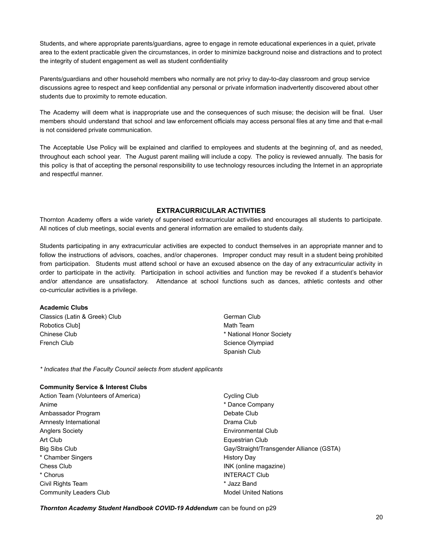Students, and where appropriate parents/guardians, agree to engage in remote educational experiences in a quiet, private area to the extent practicable given the circumstances, in order to minimize background noise and distractions and to protect the integrity of student engagement as well as student confidentiality

Parents/guardians and other household members who normally are not privy to day-to-day classroom and group service discussions agree to respect and keep confidential any personal or private information inadvertently discovered about other students due to proximity to remote education.

The Academy will deem what is inappropriate use and the consequences of such misuse; the decision will be final. User members should understand that school and law enforcement officials may access personal files at any time and that e-mail is not considered private communication.

The Acceptable Use Policy will be explained and clarified to employees and students at the beginning of, and as needed, throughout each school year. The August parent mailing will include a copy. The policy is reviewed annually. The basis for this policy is that of accepting the personal responsibility to use technology resources including the Internet in an appropriate and respectful manner.

## **EXTRACURRICULAR ACTIVITIES**

Thornton Academy offers a wide variety of supervised extracurricular activities and encourages all students to participate. All notices of club meetings, social events and general information are emailed to students daily.

Students participating in any extracurricular activities are expected to conduct themselves in an appropriate manner and to follow the instructions of advisors, coaches, and/or chaperones. Improper conduct may result in a student being prohibited from participation. Students must attend school or have an excused absence on the day of any extracurricular activity in order to participate in the activity. Participation in school activities and function may be revoked if a student's behavior and/or attendance are unsatisfactory. Attendance at school functions such as dances, athletic contests and other co-curricular activities is a privilege.

#### **Academic Clubs**

Classics (Latin & Greek) Club Robotics Club] Chinese Club French Club

German Club Math Team \* National Honor Society Science Olympiad Spanish Club

*\* Indicates that the Faculty Council selects from student applicants*

#### **Community Service & Interest Clubs**

Action Team (Volunteers of America) Anime Ambassador Program Amnesty International Anglers Society Art Club Big Sibs Club \* Chamber Singers Chess Club \* Chorus Civil Rights Team Community Leaders Club

Cycling Club \* Dance Company Debate Club Drama Club Environmental Club Equestrian Club Gay/Straight/Transgender Alliance (GSTA) History Day INK (online magazine) INTERACT Club \* Jazz Band Model United Nations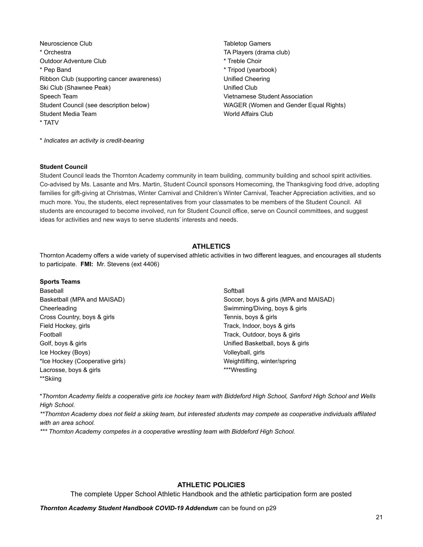Neuroscience Club \* Orchestra Outdoor Adventure Club \* Pep Band Ribbon Club (supporting cancer awareness) Ski Club (Shawnee Peak) Speech Team Student Council (see description below) Student Media Team \* TATV

Tabletop Gamers TA Players (drama club) \* Treble Choir \* Tripod (yearbook) Unified Cheering Unified Club Vietnamese Student Association WAGER (Women and Gender Equal Rights) World Affairs Club

\* *Indicates an activity is credit-bearing*

#### **Student Council**

Student Council leads the Thornton Academy community in team building, community building and school spirit activities. Co-advised by Ms. Lasante and Mrs. Martin, Student Council sponsors Homecoming, the Thanksgiving food drive, adopting families for gift-giving at Christmas, Winter Carnival and Children's Winter Carnival, Teacher Appreciation activities, and so much more. You, the students, elect representatives from your classmates to be members of the Student Council. All students are encouraged to become involved, run for Student Council office, serve on Council committees, and suggest ideas for activities and new ways to serve students' interests and needs.

## **ATHLETICS**

Thornton Academy offers a wide variety of supervised athletic activities in two different leagues, and encourages all students to participate. **FMI:** Mr. Stevens (ext 4406)

#### **Sports Teams**

| Baseball                        |
|---------------------------------|
| Basketball (MPA and MAISAD)     |
| Cheerleading                    |
| Cross Country, boys & girls     |
| Field Hockey, girls             |
| Football                        |
| Golf, boys & girls              |
| Ice Hockey (Boys)               |
| *Ice Hockey (Cooperative girls) |
| Lacrosse, boys & girls          |
| **Skiing                        |

**Softball** Soccer, boys & girls (MPA and MAISAD) Swimming/Diving, boys & girls Tennis, boys & girls Track, Indoor, boys & girls Track, Outdoor, boys & girls Unified Basketball, boys & girls Volleyball, girls Weightlifting, winter/spring \*\*\*Wrestling

\**Thornton Academy fields a cooperative girls ice hockey team with Biddeford High School, Sanford High School and Wells High School.*

*\*\*Thornton Academy does not field a skiing team, but interested students may compete as cooperative individuals affilated with an area school.*

*\*\*\* Thornton Academy competes in a cooperative wrestling team with Biddeford High School.*

## **ATHLETIC POLICIES**

The complete Upper School Athletic Handbook and the athletic participation form are posted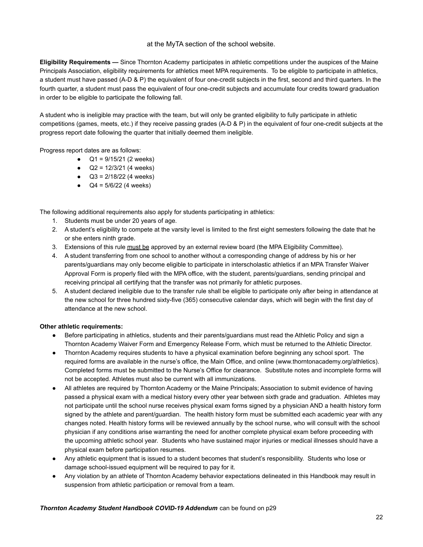## at the MyTA section of the school website.

**Eligibility Requirements —** Since Thornton Academy participates in athletic competitions under the auspices of the Maine Principals Association, eligibility requirements for athletics meet MPA requirements. To be eligible to participate in athletics, a student must have passed (A-D & P) the equivalent of four one-credit subjects in the first, second and third quarters. In the fourth quarter, a student must pass the equivalent of four one-credit subjects and accumulate four credits toward graduation in order to be eligible to participate the following fall.

A student who is ineligible may practice with the team, but will only be granted eligibility to fully participate in athletic competitions (games, meets, etc.) if they receive passing grades (A-D & P) in the equivalent of four one-credit subjects at the progress report date following the quarter that initially deemed them ineligible.

Progress report dates are as follows:

- $Q1 = 9/15/21$  (2 weeks)
- $Q2 = 12/3/21$  (4 weeks)
- $\bullet$  Q3 = 2/18/22 (4 weeks)
- $Q4 = 5/6/22$  (4 weeks)

The following additional requirements also apply for students participating in athletics:

- 1. Students must be under 20 years of age.
- 2. A student's eligibility to compete at the varsity level is limited to the first eight semesters following the date that he or she enters ninth grade.
- 3. Extensions of this rule must be approved by an external review board (the MPA Eligibility Committee).
- 4. A student transferring from one school to another without a corresponding change of address by his or her parents/guardians may only become eligible to participate in interscholastic athletics if an MPA Transfer Waiver Approval Form is properly filed with the MPA office, with the student, parents/guardians, sending principal and receiving principal all certifying that the transfer was not primarily for athletic purposes.
- 5. A student declared ineligible due to the transfer rule shall be eligible to participate only after being in attendance at the new school for three hundred sixty-five (365) consecutive calendar days, which will begin with the first day of attendance at the new school.

## **Other athletic requirements:**

- Before participating in athletics, students and their parents/guardians must read the Athletic Policy and sign a Thornton Academy Waiver Form and Emergency Release Form, which must be returned to the Athletic Director.
- Thornton Academy requires students to have a physical examination before beginning any school sport. The required forms are available in the nurse's office, the Main Office, and online (www.thorntonacademy.org/athletics). Completed forms must be submitted to the Nurse's Office for clearance. Substitute notes and incomplete forms will not be accepted. Athletes must also be current with all immunizations.
- All athletes are required by Thornton Academy or the Maine Principals; Association to submit evidence of having passed a physical exam with a medical history every other year between sixth grade and graduation. Athletes may not participate until the school nurse receives physical exam forms signed by a physician AND a health history form signed by the athlete and parent/guardian. The health history form must be submitted each academic year with any changes noted. Health history forms will be reviewed annually by the school nurse, who will consult with the school physician if any conditions arise warranting the need for another complete physical exam before proceeding with the upcoming athletic school year. Students who have sustained major injuries or medical illnesses should have a physical exam before participation resumes.
- Any athletic equipment that is issued to a student becomes that student's responsibility. Students who lose or damage school-issued equipment will be required to pay for it.
- Any violation by an athlete of Thornton Academy behavior expectations delineated in this Handbook may result in suspension from athletic participation or removal from a team.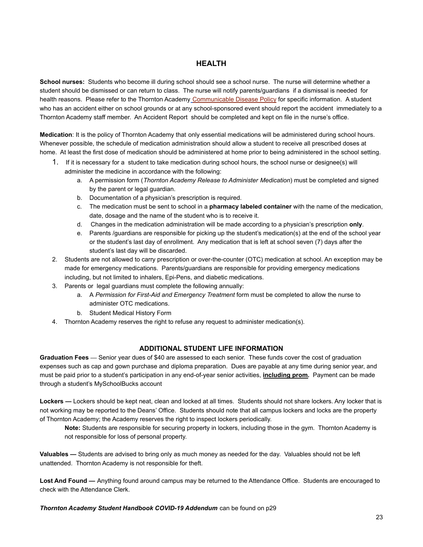## **HEALTH**

**School nurses:** Students who become ill during school should see a school nurse. The nurse will determine whether a student should be dismissed or can return to class. The nurse will notify parents/guardians if a dismissal is needed for health reasons. Please refer to the Thornton Academy [Communicable Disease Policy](https://resources.finalsite.net/images/v1598027453/thornton/d5qe04mrn4qvlejl6nfe/TACommunicableDiseasePolicy_20.pdf) for specific information. A student who has an accident either on school grounds or at any school-sponsored event should report the accident immediately to a Thornton Academy staff member. An Accident Report should be completed and kept on file in the nurse's office.

**Medication**: It is the policy of Thornton Academy that only essential medications will be administered during school hours. Whenever possible, the schedule of medication administration should allow a student to receive all prescribed doses at home. At least the first dose of medication should be administered at home prior to being administered in the school setting.

- 1. If it is necessary for a student to take medication during school hours, the school nurse or designee(s) will administer the medicine in accordance with the following:
	- a. A permission form (*Thornton Academy Release to Administer Medication*) must be completed and signed by the parent or legal guardian.
	- b. Documentation of a physician's prescription is required.
	- c. The medication must be sent to school in a **pharmacy labeled container** with the name of the medication, date, dosage and the name of the student who is to receive it.
	- d. Changes in the medication administration will be made according to a physician's prescription **only**.
	- e. Parents /guardians are responsible for picking up the student's medication(s) at the end of the school year or the student's last day of enrollment. Any medication that is left at school seven (7) days after the student's last day will be discarded.
- 2. Students are not allowed to carry prescription or over-the-counter (OTC) medication at school. An exception may be made for emergency medications. Parents/guardians are responsible for providing emergency medications including, but not limited to inhalers, Epi-Pens, and diabetic medications.
- 3. Parents or legal guardians must complete the following annually:
	- a. A *Permission for First-Aid and Emergency Treatment* form must be completed to allow the nurse to administer OTC medications.
	- b. Student Medical History Form
- 4. Thornton Academy reserves the right to refuse any request to administer medication(s).

## **ADDITIONAL STUDENT LIFE INFORMATION**

**Graduation Fees —** Senior year dues of \$40 are assessed to each senior. These funds cover the cost of graduation expenses such as cap and gown purchase and diploma preparation. Dues are payable at any time during senior year, and must be paid prior to a student's participation in any end-of-year senior activities, **including prom.** Payment can be made through a student's MySchoolBucks account

**Lockers —** Lockers should be kept neat, clean and locked at all times. Students should not share lockers. Any locker that is not working may be reported to the Deans' Office. Students should note that all campus lockers and locks are the property of Thornton Academy; the Academy reserves the right to inspect lockers periodically.

**Note:** Students are responsible for securing property in lockers, including those in the gym. Thornton Academy is not responsible for loss of personal property.

**Valuables —** Students are advised to bring only as much money as needed for the day. Valuables should not be left unattended. Thornton Academy is not responsible for theft.

**Lost And Found —** Anything found around campus may be returned to the Attendance Office. Students are encouraged to check with the Attendance Clerk.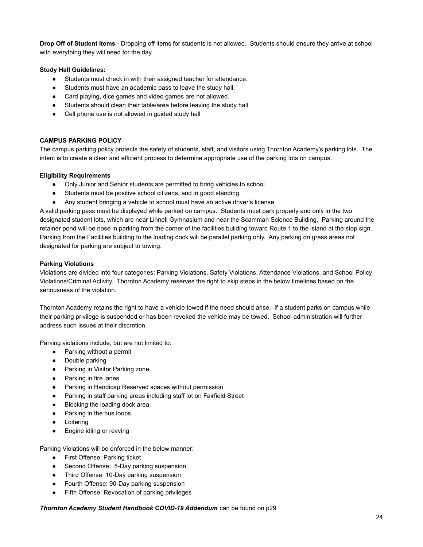**Drop Off of Student Items** - Dropping off items for students is not allowed. Students should ensure they arrive at school with everything they will need for the day.

### **Study Hall Guidelines:**

- Students must check in with their assigned teacher for attendance.
- Students must have an academic pass to leave the study hall.
- Card playing, dice games and video games are not allowed.
- Students should clean their table/area before leaving the study hall.
- Cell phone use is not allowed in quided study hall

## **CAMPUS PARKING POLICY**

The campus parking policy protects the safety of students, staff, and visitors using Thornton Academy's parking lots. The intent is to create a clear and efficient process to determine appropriate use of the parking lots on campus.

### **Eligibility Requirements**

- Only Junior and Senior students are permitted to bring vehicles to school.
- Students must be positive school citizens, and in good standing.
- Any student bringing a vehicle to school must have an active driver's license

A valid parking pass must be displayed while parked on campus. Students must park properly and only in the two designated student lots, which are near Linnell Gymnasium and near the Scamman Science Building. Parking around the retainer pond will be nose in parking from the corner of the facilities building toward Route 1 to the island at the stop sign. Parking from the Facilities building to the loading dock will be parallel parking only. Any parking on grass areas not designated for parking are subject to towing.

#### **Parking Violations**

Violations are divided into four categories: Parking Violations, Safety Violations, Attendance Violations, and School Policy Violations/Criminal Activity. Thornton Academy reserves the right to skip steps in the below timelines based on the seriousness of the violation.

Thornton Academy retains the right to have a vehicle towed if the need should arise. If a student parks on campus while their parking privilege is suspended or has been revoked the vehicle may be towed. School administration will further address such issues at their discretion.

Parking violations include, but are not limited to:

- Parking without a permit
- Double parking
- Parking in Visitor Parking zone
- Parking in fire lanes
- Parking in Handicap Reserved spaces without permission
- Parking in staff parking areas including staff lot on Fairfield Street
- Blocking the loading dock area
- Parking in the bus loops
- Loitering
- Engine idling or revving

Parking Violations will be enforced in the below manner:

- First Offense: Parking ticket
- Second Offense: 5-Day parking suspension
- Third Offense: 10-Day parking suspension
- Fourth Offense: 90-Day parking suspension
- Fifth Offense: Revocation of parking privileges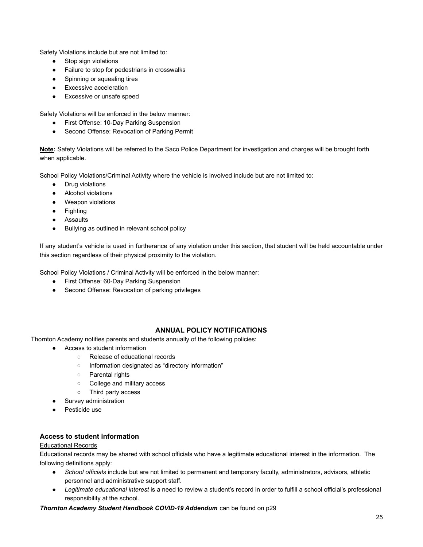Safety Violations include but are not limited to:

- Stop sign violations
- Failure to stop for pedestrians in crosswalks
- Spinning or squealing tires
- Excessive acceleration
- Excessive or unsafe speed

Safety Violations will be enforced in the below manner:

- First Offense: 10-Day Parking Suspension
- Second Offense: Revocation of Parking Permit

**Note:** Safety Violations will be referred to the Saco Police Department for investigation and charges will be brought forth when applicable.

School Policy Violations/Criminal Activity where the vehicle is involved include but are not limited to:

- Drug violations
- Alcohol violations
- Weapon violations
- Fighting
- Assaults
- Bullying as outlined in relevant school policy

If any student's vehicle is used in furtherance of any violation under this section, that student will be held accountable under this section regardless of their physical proximity to the violation.

School Policy Violations / Criminal Activity will be enforced in the below manner:

- First Offense: 60-Day Parking Suspension
- Second Offense: Revocation of parking privileges

## **ANNUAL POLICY NOTIFICATIONS**

Thornton Academy notifies parents and students annually of the following policies:

- Access to student information
	- Release of educational records
	- Information designated as "directory information"
	- Parental rights
	- College and military access
	- Third party access
- Survey administration
- Pesticide use

## **Access to student information**

### Educational Records

Educational records may be shared with school officials who have a legitimate educational interest in the information. The following definitions apply:

- *School officials* include but are not limited to permanent and temporary faculty, administrators, advisors, athletic personnel and administrative support staff.
- *Legitimate educational interest* is a need to review a student's record in order to fulfill a school official's professional responsibility at the school.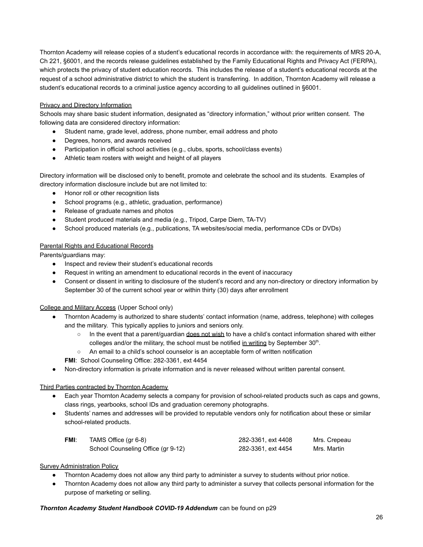Thornton Academy will release copies of a student's educational records in accordance with: the requirements of MRS 20-A, Ch 221, §6001, and the records release guidelines established by the Family Educational Rights and Privacy Act (FERPA), which protects the privacy of student education records. This includes the release of a student's educational records at the request of a school administrative district to which the student is transferring. In addition, Thornton Academy will release a student's educational records to a criminal justice agency according to all guidelines outlined in §6001.

## Privacy and Directory Information

Schools may share basic student information, designated as "directory information," without prior written consent. The following data are considered directory information:

- Student name, grade level, address, phone number, email address and photo
- Degrees, honors, and awards received
- Participation in official school activities (e.g., clubs, sports, school/class events)
- Athletic team rosters with weight and height of all players

Directory information will be disclosed only to benefit, promote and celebrate the school and its students. Examples of directory information disclosure include but are not limited to:

- Honor roll or other recognition lists
- School programs (e.g., athletic, graduation, performance)
- Release of graduate names and photos
- Student produced materials and media (e.g., Tripod, Carpe Diem, TA-TV)
- School produced materials (e.g., publications, TA websites/social media, performance CDs or DVDs)

## Parental Rights and Educational Records

Parents/guardians may:

- Inspect and review their student's educational records
- Request in writing an amendment to educational records in the event of inaccuracy
- Consent or dissent in writing to disclosure of the student's record and any non-directory or directory information by September 30 of the current school year or within thirty (30) days after enrollment

## College and Military Access (Upper School only)

- Thornton Academy is authorized to share students' contact information (name, address, telephone) with colleges and the military. This typically applies to juniors and seniors only.
	- In the event that a parent/quardian does not wish to have a child's contact information shared with either colleges and/or the military, the school must be notified in writing by September  $30<sup>th</sup>$ .
	- An email to a child's school counselor is an acceptable form of written notification

**FMI**: School Counseling Office: 282-3361, ext 4454

● Non-directory information is private information and is never released without written parental consent.

## Third Parties contracted by Thornton Academy

- Each year Thornton Academy selects a company for provision of school-related products such as caps and gowns, class rings, yearbooks, school IDs and graduation ceremony photographs.
- Students' names and addresses will be provided to reputable vendors only for notification about these or similar school-related products.

| <b>FMI:</b> | TAMS Office (gr 6-8)               | 282-3361, ext 4408 | Mrs. Crepeau |
|-------------|------------------------------------|--------------------|--------------|
|             | School Counseling Office (gr 9-12) | 282-3361, ext 4454 | Mrs. Martin  |

## Survey Administration Policy

- Thornton Academy does not allow any third party to administer a survey to students without prior notice.
- Thornton Academy does not allow any third party to administer a survey that collects personal information for the purpose of marketing or selling.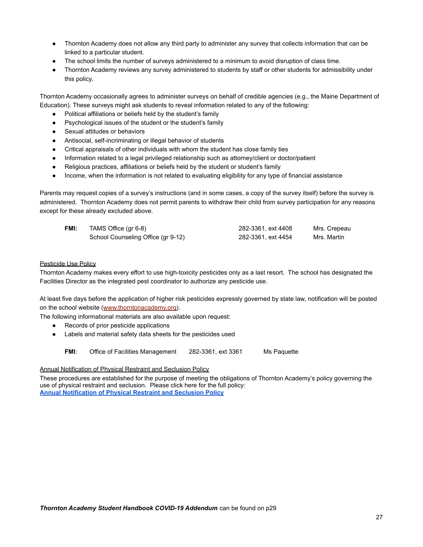- Thornton Academy does not allow any third party to administer any survey that collects information that can be linked to a particular student.
- The school limits the number of surveys administered to a minimum to avoid disruption of class time.
- Thornton Academy reviews any survey administered to students by staff or other students for admissibility under this policy.

Thornton Academy occasionally agrees to administer surveys on behalf of credible agencies (e.g., the Maine Department of Education). These surveys might ask students to reveal information related to any of the following:

- Political affiliations or beliefs held by the student's family
- Psychological issues of the student or the student's family
- Sexual attitudes or behaviors
- Antisocial, self-incriminating or illegal behavior of students
- Critical appraisals of other individuals with whom the student has close family ties
- Information related to a legal privileged relationship such as attorney/client or doctor/patient
- Religious practices, affiliations or beliefs held by the student or student's family
- Income, when the information is not related to evaluating eligibility for any type of financial assistance

Parents may request copies of a survey's instructions (and in some cases, a copy of the survey itself) before the survey is administered. Thornton Academy does not permit parents to withdraw their child from survey participation for any reasons except for these already excluded above.

| FMI: | TAMS Office (gr 6-8)               | 282-3361, ext 4408 | Mrs. Crepeau |
|------|------------------------------------|--------------------|--------------|
|      | School Counseling Office (gr 9-12) | 282-3361, ext 4454 | Mrs. Martin  |

#### Pesticide Use Policy

Thornton Academy makes every effort to use high-toxicity pesticides only as a last resort. The school has designated the Facilities Director as the integrated pest coordinator to authorize any pesticide use.

At least five days before the application of higher risk pesticides expressly governed by state law, notification will be posted on the school website ([www.thorntonacademy.org\)](http://www.thorntonacademy.org).

The following informational materials are also available upon request:

- Records of prior pesticide applications
- Labels and material safety data sheets for the pesticides used

**FMI:** Office of Facilities Management 282-3361, ext 3361 Ms Paquette

## Annual Notification of Physical Restraint and Seclusion Policy

These procedures are established for the purpose of meeting the obligations of Thornton Academy's policy governing the use of physical restraint and seclusion. Please click here for the full policy: **[Annual Notification of Physical Restraint and Seclusion Policy](https://drive.google.com/file/d/1Q1WBkT7GwVGrRMV6RyWdc4P_mbjlDeCa/view?usp=sharing)**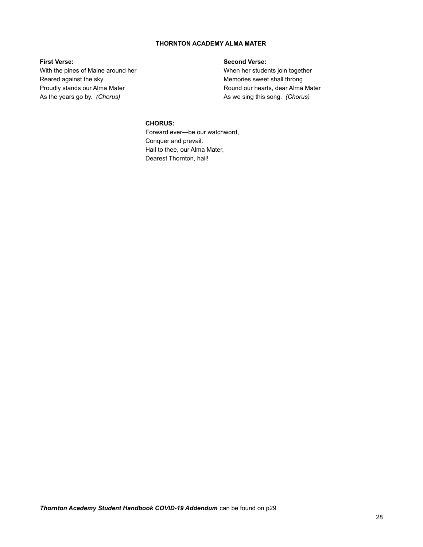## **THORNTON ACADEMY ALMA MATER**

#### **First Verse:**

With the pines of Maine around her Reared against the sky Proudly stands our Alma Mater As the years go by. *(Chorus)*

## **Second Verse:**

When her students join together Memories sweet shall throng Round our hearts, dear Alma Mater As we sing this song. *(Chorus)*

## **CHORUS:**

Forward ever—be our watchword, Conquer and prevail. Hail to thee, our Alma Mater, Dearest Thornton, hail!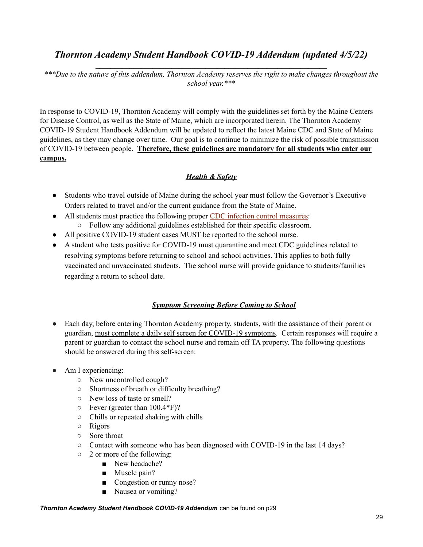## *Thornton Academy Student Handbook COVID-19 Addendum (updated 4/5/22)* **\_\_\_\_\_\_\_\_\_\_\_\_\_\_\_\_\_\_\_\_\_\_\_\_\_\_\_\_\_\_\_\_\_\_\_\_\_\_\_\_\_\_\_\_\_\_\_\_\_\_\_\_\_\_\_\_\_\_\_\_\_**

*\*\*\*Due to the nature of this addendum, Thornton Academy reserves the right to make changes throughout the school year.\*\*\**

In response to COVID-19, Thornton Academy will comply with the guidelines set forth by the Maine Centers for Disease Control, as well as the State of Maine, which are incorporated herein. The Thornton Academy COVID-19 Student Handbook Addendum will be updated to reflect the latest Maine CDC and State of Maine guidelines, as they may change over time. Our goal is to continue to minimize the risk of possible transmission of COVID-19 between people. **Therefore, these guidelines are mandatory for all students who enter our campus.**

## *Health & Safety*

- Students who travel outside of Maine during the school year must follow the Governor's Executive Orders related to travel and/or the current guidance from the State of Maine.
- All students must practice the following proper CDC infection control [measures:](https://www.cdc.gov/healthywater/hygiene/etiquette/coughing_sneezing.html#:~:text=To%20help%20stop%20the%20spread,your%20elbow%2C%20not%20your%20hands) ○ Follow any additional guidelines established for their specific classroom.
- All positive COVID-19 student cases MUST be reported to the school nurse.
- A student who tests positive for COVID-19 must quarantine and meet CDC guidelines related to resolving symptoms before returning to school and school activities. This applies to both fully vaccinated and unvaccinated students. The school nurse will provide guidance to students/families regarding a return to school date.

## *Symptom Screening Before Coming to School*

- Each day, before entering Thornton Academy property, students, with the assistance of their parent or guardian, must complete a daily self screen for COVID-19 symptoms. Certain responses will require a parent or guardian to contact the school nurse and remain off TA property. The following questions should be answered during this self-screen:
- Am I experiencing:
	- New uncontrolled cough?
	- Shortness of breath or difficulty breathing?
	- New loss of taste or smell?
	- $\circ$  Fever (greater than 100.4\*F)?
	- Chills or repeated shaking with chills
	- Rigors
	- Sore throat
	- Contact with someone who has been diagnosed with COVID-19 in the last 14 days?
	- 2 or more of the following:
		- New headache?
		- Muscle pain?
		- Congestion or runny nose?
		- Nausea or vomiting?